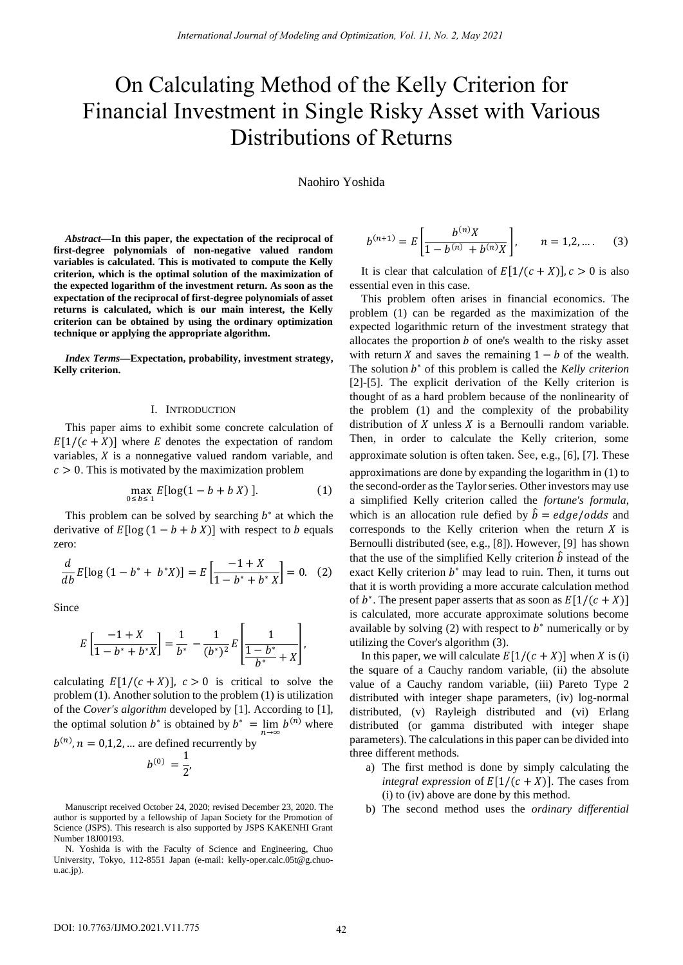# On Calculating Method of the Kelly Criterion for Financial Investment in Single Risky Asset with Various Distributions of Returns

Naohiro Yoshida

*Abstract***—In this paper, the expectation of the reciprocal of first-degree polynomials of non-negative valued random variables is calculated. This is motivated to compute the Kelly criterion, which is the optimal solution of the maximization of the expected logarithm of the investment return. As soon as the expectation of the reciprocal of first-degree polynomials of asset returns is calculated, which is our main interest, the Kelly criterion can be obtained by using the ordinary optimization technique or applying the appropriate algorithm.**

*Index Terms***—Expectation, probability, investment strategy, Kelly criterion.**

## I. INTRODUCTION

This paper aims to exhibit some concrete calculation of  $E[1/(c+X)]$  where E denotes the expectation of random variables,  $X$  is a nonnegative valued random variable, and  $c > 0$ . This is motivated by the maximization problem

$$
\max_{0 \le b \le 1} E[\log(1 - b + b X)]. \tag{1}
$$

This problem can be solved by searching  $b^*$  at which the derivative of  $E[\log (1 - b + b X)]$  with respect to *b* equals zero:

$$
\frac{d}{db}E[\log(1-b^*+ b^*X)] = E\left[\frac{-1+X}{1-b^*+ b^*X}\right] = 0. \quad (2)
$$

Since

$$
E\left[\frac{-1+X}{1-b^*+b^*X}\right] = \frac{1}{b^*} - \frac{1}{(b^*)^2}E\left[\frac{1}{1-b^*}+X\right],
$$

calculating  $E[1/(c + X)]$ ,  $c > 0$  is critical to solve the problem (1). Another solution to the problem (1) is utilization of the *Cover's algorithm* developed by [1]. According to [1], the optimal solution  $b^*$  is obtained by  $b^* = \lim_{n \to \infty} b^{(n)}$  where

$$
b^{(n)}, n = 0,1,2,...
$$
 are defined recurrently by  

$$
b^{(0)} = \frac{1}{2},
$$

Manuscript received October 24, 2020; revised December 23, 2020. The author is supported by a fellowship of Japan Society for the Promotion of Science (JSPS). This research is also supported by JSPS KAKENHI Grant Number 18J00193.

$$
b^{(n+1)} = E\left[\frac{b^{(n)}X}{1 - b^{(n)} + b^{(n)}X}\right], \qquad n = 1, 2, .... \tag{3}
$$

It is clear that calculation of  $E[1/((c + X))]$ ,  $c > 0$  is also essential even in this case.

This problem often arises in financial economics. The problem (1) can be regarded as the maximization of the expected logarithmic return of the investment strategy that allocates the proportion  $b$  of one's wealth to the risky asset with return X and saves the remaining  $1 - b$  of the wealth. The solution  $b^*$  of this problem is called the *Kelly criterion* [2]-[5]. The explicit derivation of the Kelly criterion is thought of as a hard problem because of the nonlinearity of the problem (1) and the complexity of the probability distribution of  $X$  unless  $X$  is a Bernoulli random variable. Then, in order to calculate the Kelly criterion, some approximate solution is often taken. See, e.g., [6], [7]. These approximations are done by expanding the logarithm in (1) to the second-order as the Taylor series. Other investors may use a simplified Kelly criterion called the *fortune's formula*, which is an allocation rule defied by  $\hat{b} = edge/odds$  and corresponds to the Kelly criterion when the return  $X$  is Bernoulli distributed (see, e.g., [8]). However, [9] has shown that the use of the simplified Kelly criterion  $\hat{b}$  instead of the exact Kelly criterion  $b^*$  may lead to ruin. Then, it turns out that it is worth providing a more accurate calculation method of  $b^*$ . The present paper asserts that as soon as  $E[1/(c+X)]$ is calculated, more accurate approximate solutions become available by solving  $(2)$  with respect to  $b^*$  numerically or by utilizing the Cover's algorithm (3).

In this paper, we will calculate  $E[1/(c + X)]$  when X is (i) the square of a Cauchy random variable, (ii) the absolute value of a Cauchy random variable, (iii) Pareto Type 2 distributed with integer shape parameters, (iv) log-normal distributed, (v) Rayleigh distributed and (vi) Erlang distributed (or gamma distributed with integer shape parameters). The calculations in this paper can be divided into three different methods.

- a) The first method is done by simply calculating the *integral expression* of  $E[1/(c + X)]$ . The cases from (i) to (iv) above are done by this method.
- b) The second method uses the *ordinary differential*

N. Yoshida is with the Faculty of Science and Engineering, Chuo University, Tokyo, 112-8551 Japan (e-mail: kelly-oper.calc.05t@g.chuou.ac.jp).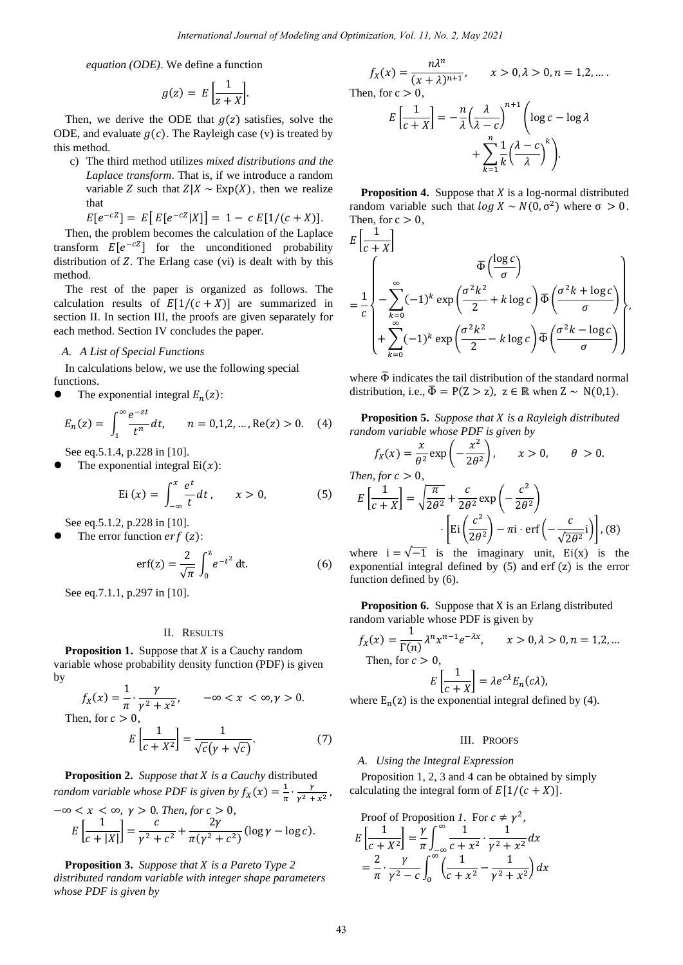*equation (ODE)*. We define a function

$$
g(z) = E\left[\frac{1}{z+X}\right].
$$

Then, we derive the ODE that  $g(z)$  satisfies, solve the ODE, and evaluate  $g(c)$ . The Rayleigh case (v) is treated by this method.

c) The third method utilizes *mixed distributions and the Laplace transform*. That is, if we introduce a random variable Z such that  $Z|X \sim Exp(X)$ , then we realize that

 $E[e^{-cZ}] = E[E[e^{-cZ}|X]] = 1 - c E[1/(c+X)].$ 

Then, the problem becomes the calculation of the Laplace transform  $E[e^{-cZ}]$  for the unconditioned probability distribution of  $Z$ . The Erlang case (vi) is dealt with by this method.

The rest of the paper is organized as follows. The calculation results of  $E[1/(c+X)]$  are summarized in section II. In section III, the proofs are given separately for each method. Section IV concludes the paper.

### *A. A List of Special Functions*

In calculations below, we use the following special functions.

• The exponential integral  $E_n(z)$ :

$$
E_n(z) = \int_1^\infty \frac{e^{-zt}}{t^n} dt, \qquad n = 0, 1, 2, \dots, \text{Re}(z) > 0. \tag{4}
$$

See eq.5.1.4, p.228 in [10].

The exponential integral  $Ei(x)$ :

$$
Ei(x) = \int_{-\infty}^{x} \frac{e^{t}}{t} dt, \qquad x > 0,
$$
 (5)

See eq.5.1.2, p.228 in [10].

The error function  $erf(z)$ :

$$
\text{erf(z)} = \frac{2}{\sqrt{\pi}} \int_0^z e^{-t^2} \, \text{dt.} \tag{6}
$$

See eq.7.1.1, p.297 in [10].

## II. RESULTS

**Proposition 1.** Suppose that *X* is a Cauchy random variable whose probability density function (PDF) is given by

$$
f_X(x) = \frac{1}{\pi} \cdot \frac{\gamma}{\gamma^2 + x^2}, \qquad -\infty < x < \infty, \gamma > 0.
$$

Then, for  $c > 0$ ,

$$
E\left[\frac{1}{c+X^2}\right] = \frac{1}{\sqrt{c}(\gamma + \sqrt{c})}.
$$
 (7)

**Proposition 2.** *Suppose that is a Cauchy* distributed *random variable whose PDF is given by*  $f_X(x) = \frac{1}{\pi}$  $rac{1}{\pi}$   $\cdot \frac{\gamma}{\gamma^2}$  $\frac{y}{y^2 + x^2}$ ,  $-\infty < x < \infty$ ,  $\gamma > 0$ . *Then, for*  $c > 0$ ,

$$
E\left[\frac{1}{c+|X|}\right] = \frac{c}{\gamma^2 + c^2} + \frac{2\gamma}{\pi(\gamma^2 + c^2)} (\log \gamma - \log c).
$$

**Proposition 3.** *Suppose that X is a Pareto Type 2 distributed random variable with integer shape parameters whose PDF is given by*

$$
f_X(x) = \frac{n\lambda^n}{(x+\lambda)^{n+1}}, \qquad x > 0, \lambda > 0, n = 1, 2, \dots.
$$
  
Then, for  $c > 0$ ,
$$
E\left[\frac{1}{c+X}\right] = -\frac{n}{\lambda} \left(\frac{\lambda}{\lambda - c}\right)^{n+1} \left(\log c - \log \lambda + \sum_{k=1}^n \frac{1}{k} \left(\frac{\lambda - c}{\lambda}\right)^k\right).
$$

**Proposition 4.** Suppose that  $X$  is a log-normal distributed random variable such that  $\log X \sim N(0, \sigma^2)$  where  $\sigma > 0$ . Then, for  $c > 0$ ,  $1<sub>1</sub>$ 

$$
E\left[\frac{1}{c+X}\right]
$$
  
=  $\frac{1}{c}$ \n
$$
\begin{pmatrix}\n\overline{\Phi}\left(\frac{\log c}{\sigma}\right) \\
-\sum_{k=0}^{\infty}(-1)^k \exp\left(\frac{\sigma^2 k^2}{2} + k \log c\right) \overline{\Phi}\left(\frac{\sigma^2 k + \log c}{\sigma}\right) \\
+\sum_{k=0}^{\infty}(-1)^k \exp\left(\frac{\sigma^2 k^2}{2} - k \log c\right) \overline{\Phi}\left(\frac{\sigma^2 k - \log c}{\sigma}\right)\n\end{pmatrix},
$$

where  $\overline{\Phi}$  indicates the tail distribution of the standard normal distribution, i.e.,  $\overline{\Phi} = P(Z > z)$ ,  $z \in \mathbb{R}$  when  $Z \sim N(0,1)$ .

**Proposition 5.** *Suppose that is a Rayleigh distributed random variable whose PDF is given by*

$$
f_X(x) = \frac{x}{\theta^2} \exp\left(-\frac{x^2}{2\theta^2}\right), \qquad x > 0, \qquad \theta > 0.
$$
\nThen, for  $c > 0$ .

$$
E\left[\frac{1}{c+X}\right] = \sqrt{\frac{\pi}{2\theta^2}} + \frac{c}{2\theta^2} \exp\left(-\frac{c^2}{2\theta^2}\right)
$$

$$
\cdot \left[Ei\left(\frac{c^2}{2\theta^2}\right) - \pi i \cdot \text{erf}\left(-\frac{c}{\sqrt{2\theta^2}}i\right)\right], (8)
$$

where  $i = \sqrt{-1}$  is the imaginary unit, Ei(x) is the exponential integral defined by (5) and erf (z) is the error function defined by (6).

**Proposition 6.** Suppose that X is an Erlang distributed random variable whose PDF is given by

$$
f_X(x) = \frac{1}{\Gamma(n)} \lambda^n x^{n-1} e^{-\lambda x}, \qquad x > 0, \lambda > 0, n = 1, 2, ...
$$
  
Then, for  $c > 0$ ,  

$$
E\left[\frac{1}{c+X}\right] = \lambda e^{c\lambda} E_n(c\lambda),
$$

where  $E_n(z)$  is the exponential integral defined by (4).

## III. PROOFS

## *A. Using the Integral Expression*

Proposition 1, 2, 3 and 4 can be obtained by simply calculating the integral form of  $E[1/(c + X)]$ .

Proof of Proposition *I*. For 
$$
c \neq \gamma^2
$$
,  
\n
$$
E\left[\frac{1}{c+X^2}\right] = \frac{\gamma}{\pi} \int_{-\infty}^{\infty} \frac{1}{c+x^2} \cdot \frac{1}{\gamma^2 + x^2} dx
$$
\n
$$
= \frac{2}{\pi} \cdot \frac{\gamma}{\gamma^2 - c} \int_{0}^{\infty} \left(\frac{1}{c+x^2} - \frac{1}{\gamma^2 + x^2}\right) dx
$$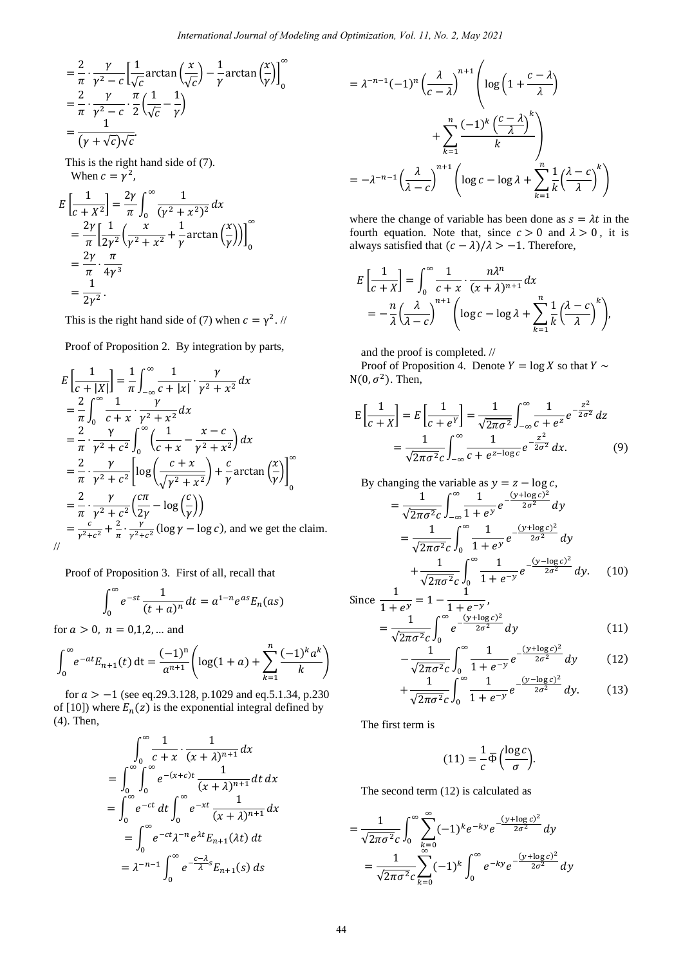$$
= \frac{2}{\pi} \cdot \frac{\gamma}{\gamma^2 - c} \left[ \frac{1}{\sqrt{c}} \arctan\left(\frac{x}{\sqrt{c}}\right) - \frac{1}{\gamma} \arctan\left(\frac{x}{\gamma}\right) \right]_0^{\infty}
$$
  
=  $\frac{2}{\pi} \cdot \frac{\gamma}{\gamma^2 - c} \cdot \frac{\pi}{2} \left( \frac{1}{\sqrt{c}} - \frac{1}{\gamma} \right)$   
=  $\frac{1}{(\gamma + \sqrt{c})\sqrt{c}}$ 

This is the right hand side of (7). When  $c = \gamma^2$ ,

$$
E\left[\frac{1}{c+X^2}\right] = \frac{2\gamma}{\pi} \int_0^\infty \frac{1}{(\gamma^2 + x^2)^2} dx
$$
  
=  $\frac{2\gamma}{\pi} \left[\frac{1}{2\gamma^2} \left(\frac{x}{\gamma^2 + x^2} + \frac{1}{\gamma} \arctan\left(\frac{x}{\gamma}\right)\right)\right]_0^\infty$   
=  $\frac{2\gamma}{\pi} \cdot \frac{\pi}{4\gamma^3}$   
=  $\frac{1}{2\gamma^2}$ .

This is the right hand side of (7) when  $c = \gamma^2$ . //

Proof of Proposition 2. By integration by parts,

$$
E\left[\frac{1}{c+|X|}\right] = \frac{1}{\pi} \int_{-\infty}^{\infty} \frac{1}{c+|x|} \cdot \frac{\gamma}{\gamma^2 + x^2} dx
$$
  
\n
$$
= \frac{2}{\pi} \int_{0}^{\infty} \frac{1}{c+x} \cdot \frac{\gamma}{\gamma^2 + x^2} dx
$$
  
\n
$$
= \frac{2}{\pi} \cdot \frac{\gamma}{\gamma^2 + c^2} \int_{0}^{\infty} \left(\frac{1}{c+x} - \frac{x-c}{\gamma^2 + x^2}\right) dx
$$
  
\n
$$
= \frac{2}{\pi} \cdot \frac{\gamma}{\gamma^2 + c^2} \left[\log\left(\frac{c+x}{\sqrt{\gamma^2 + x^2}}\right) + \frac{c}{\gamma} \arctan\left(\frac{x}{\gamma}\right)\right]_{0}^{\infty}
$$
  
\n
$$
= \frac{2}{\pi} \cdot \frac{\gamma}{\gamma^2 + c^2} \left(\frac{c\pi}{2\gamma} - \log\left(\frac{c}{\gamma}\right)\right)
$$
  
\n
$$
= \frac{c}{\gamma^2 + c^2} + \frac{2}{\pi} \cdot \frac{\gamma}{\gamma^2 + c^2} (\log \gamma - \log c), \text{ and we get the claim.}
$$

Proof of Proposition 3. First of all, recall that

$$
\int_0^\infty e^{-st} \frac{1}{(t+a)^n} dt = a^{1-n} e^{as} E_n(as)
$$

for  $a > 0$ ,  $n = 0,1,2,...$  and

$$
\int_0^\infty e^{-at} E_{n+1}(t) dt = \frac{(-1)^n}{a^{n+1}} \left( \log(1+a) + \sum_{k=1}^n \frac{(-1)^k a^k}{k} \right)
$$

for  $a > -1$  (see eq.29.3.128, p.1029 and eq.5.1.34, p.230) of [10]) where  $E_n(z)$  is the exponential integral defined by (4). Then,

$$
\int_0^\infty \frac{1}{c+x} \cdot \frac{1}{(x+\lambda)^{n+1}} dx
$$
  
= 
$$
\int_0^\infty \int_0^\infty e^{-(x+c)t} \frac{1}{(x+\lambda)^{n+1}} dt dx
$$
  
= 
$$
\int_0^\infty e^{-ct} dt \int_0^\infty e^{-xt} \frac{1}{(x+\lambda)^{n+1}} dx
$$
  
= 
$$
\int_0^\infty e^{-ct} \lambda^{-n} e^{\lambda t} E_{n+1}(\lambda t) dt
$$
  
= 
$$
\lambda^{-n-1} \int_0^\infty e^{-\frac{c-\lambda}{\lambda}} E_{n+1}(s) ds
$$

$$
= \lambda^{-n-1}(-1)^n \left(\frac{\lambda}{c-\lambda}\right)^{n+1} \left(\log\left(1+\frac{c-\lambda}{\lambda}\right) + \sum_{k=1}^n \frac{(-1)^k \left(\frac{c-\lambda}{\lambda}\right)^k}{k}\right)
$$

$$
= -\lambda^{-n-1} \left(\frac{\lambda}{\lambda-c}\right)^{n+1} \left(\log c - \log \lambda + \sum_{k=1}^n \frac{1}{k} \left(\frac{\lambda-c}{\lambda}\right)^k\right)
$$

where the change of variable has been done as  $s = \lambda t$  in the fourth equation. Note that, since  $c > 0$  and  $\lambda > 0$ , it is always satisfied that  $(c - \lambda)/\lambda > -1$ . Therefore,

$$
E\left[\frac{1}{c+X}\right] = \int_0^\infty \frac{1}{c+x} \cdot \frac{n\lambda^n}{(x+\lambda)^{n+1}} dx
$$
  
=  $-\frac{n}{\lambda} \left(\frac{\lambda}{\lambda-c}\right)^{n+1} \left(\log c - \log \lambda + \sum_{k=1}^n \frac{1}{k} \left(\frac{\lambda-c}{\lambda}\right)^k\right),$ 

and the proof is completed. //

Proof of Proposition 4. Denote  $Y = \log X$  so that  $Y \sim$  $N(0, \sigma^2)$ . Then,

$$
E\left[\frac{1}{c+X}\right] = E\left[\frac{1}{c+e^Y}\right] = \frac{1}{\sqrt{2\pi\sigma^2}} \int_{-\infty}^{\infty} \frac{1}{c+e^z} e^{-\frac{z^2}{2\sigma^2}} dz
$$

$$
= \frac{1}{\sqrt{2\pi\sigma^2 c}} \int_{-\infty}^{\infty} \frac{1}{c+e^{z-\log c}} e^{-\frac{z^2}{2\sigma^2}} dx.
$$
(9)

By changing the variable as 
$$
y = z - \log c
$$
,  
\n
$$
= \frac{1}{\sqrt{2\pi\sigma^2 c}} \int_{-\infty}^{\infty} \frac{1}{1 + e^y} e^{-\frac{(y + \log c)^2}{2\sigma^2}} dy
$$
\n
$$
= \frac{1}{\sqrt{2\pi\sigma^2 c}} \int_{0}^{\infty} \frac{1}{1 + e^y} e^{-\frac{(y + \log c)^2}{2\sigma^2}} dy
$$
\n
$$
+ \frac{1}{\sqrt{2\pi\sigma^2 c}} \int_{0}^{\infty} \frac{1}{1 + e^{-y}} e^{-\frac{(y - \log c)^2}{2\sigma^2}} dy. \quad (10)
$$

Since 
$$
\frac{1}{1 + e^y} = 1 - \frac{1}{1 + e^{-y}},
$$

$$
= \frac{1}{\sqrt{2\pi\sigma^2 c}} \int_0^\infty e^{-\frac{(y + \log c)^2}{2\sigma^2}} dy
$$
(11)

$$
-\frac{1}{\sqrt{2\pi\sigma^2}c} \int_0^\infty \frac{1}{1+e^{-y}} e^{-\frac{(y+\log c)^2}{2\sigma^2}} dy
$$
 (12)

$$
+\frac{1}{\sqrt{2\pi\sigma^2}c}\int_0^\infty \frac{1}{1+e^{-y}}e^{-\frac{(y-\log c)^2}{2\sigma^2}}dy.\tag{13}
$$

The first term is

$$
(11) = \frac{1}{c} \overline{\Phi} \left( \frac{\log c}{\sigma} \right).
$$

The second term (12) is calculated as

$$
= \frac{1}{\sqrt{2\pi\sigma^2 c}} \int_0^\infty \sum_{\substack{k=0 \ \infty}}^\infty (-1)^k e^{-ky} e^{-\frac{(y+\log c)^2}{2\sigma^2}} dy
$$
  
= 
$$
\frac{1}{\sqrt{2\pi\sigma^2 c}} \sum_{k=0}^\infty (-1)^k \int_0^\infty e^{-ky} e^{-\frac{(y+\log c)^2}{2\sigma^2}} dy
$$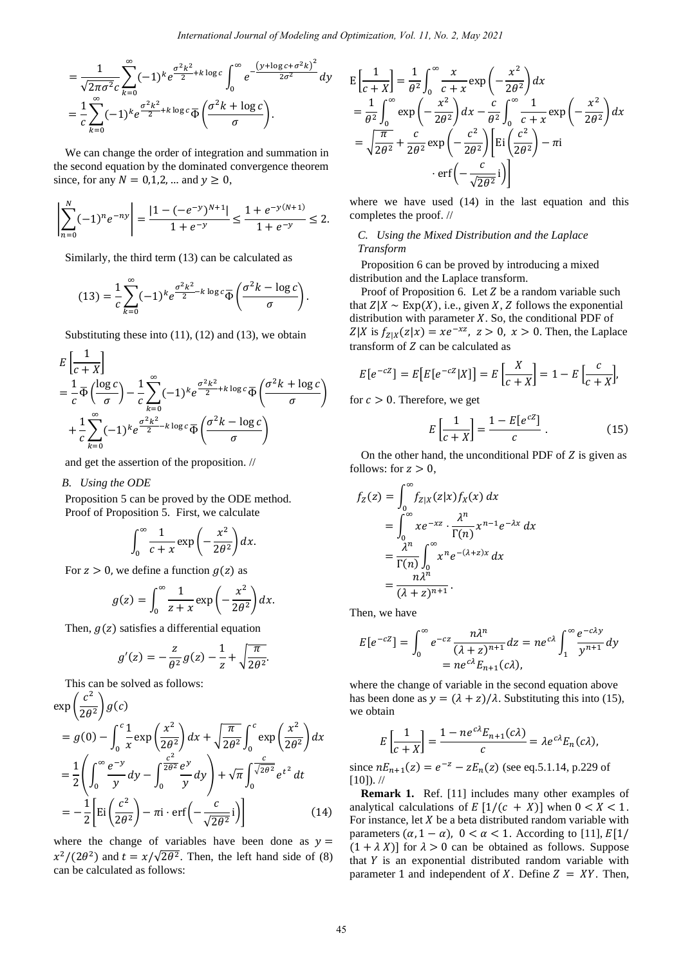$$
= \frac{1}{\sqrt{2\pi\sigma^2}c} \sum_{k=0}^{\infty} (-1)^k e^{\frac{\sigma^2 k^2}{2} + k \log c} \int_0^{\infty} e^{\frac{-(y + \log c + \sigma^2 k)^2}{2\sigma^2}} dy
$$
  

$$
= \frac{1}{c} \sum_{k=0}^{\infty} (-1)^k e^{\frac{\sigma^2 k^2}{2} + k \log c} \overline{\Phi} \left( \frac{\sigma^2 k + \log c}{\sigma} \right).
$$

We can change the order of integration and summation in the second equation by the dominated convergence theorem since, for any  $N = 0,1,2, ...$  and  $y \ge 0$ ,

$$
\left|\sum_{n=0}^{N}(-1)^{n}e^{-ny}\right|=\frac{|1-(-e^{-y})^{N+1}|}{1+e^{-y}}\leq \frac{1+e^{-y(N+1)}}{1+e^{-y}}\leq 2.
$$

Similarly, the third term (13) can be calculated as

$$
(13) = \frac{1}{c} \sum_{k=0}^{\infty} (-1)^k e^{\frac{\sigma^2 k^2}{2} - k \log c} \overline{\Phi} \left( \frac{\sigma^2 k - \log c}{\sigma} \right).
$$

Substituting these into  $(11)$ ,  $(12)$  and  $(13)$ , we obtain

$$
E\left[\frac{1}{c+X}\right]
$$
  
=  $\frac{1}{c}\overline{\Phi}\left(\frac{\log c}{\sigma}\right) - \frac{1}{c}\sum_{k=0}^{\infty} (-1)^k e^{\frac{\sigma^2 k^2}{2} + k \log c} \overline{\Phi}\left(\frac{\sigma^2 k + \log c}{\sigma}\right)$   
+  $\frac{1}{c}\sum_{k=0}^{\infty} (-1)^k e^{\frac{\sigma^2 k^2}{2} - k \log c} \overline{\Phi}\left(\frac{\sigma^2 k - \log c}{\sigma}\right)$ 

and get the assertion of the proposition. //

*B. Using the ODE*

Proposition 5 can be proved by the ODE method. Proof of Proposition 5. First, we calculate

$$
\int_0^\infty \frac{1}{c+x} \exp\left(-\frac{x^2}{2\theta^2}\right) dx.
$$

For  $z > 0$ , we define a function  $g(z)$  as

$$
g(z) = \int_0^\infty \frac{1}{z+x} \exp\left(-\frac{x^2}{2\theta^2}\right) dx.
$$

Then,  $g(z)$  satisfies a differential equation

$$
g'(z) = -\frac{z}{\theta^2}g(z) - \frac{1}{z} + \sqrt{\frac{\pi}{2\theta^2}}.
$$

This can be solved as follows:

$$
\exp\left(\frac{c^2}{2\theta^2}\right)g(c)
$$
\n
$$
= g(0) - \int_0^c \frac{1}{x} \exp\left(\frac{x^2}{2\theta^2}\right) dx + \sqrt{\frac{\pi}{2\theta^2}} \int_0^c \exp\left(\frac{x^2}{2\theta^2}\right) dx
$$
\n
$$
= \frac{1}{2} \left( \int_0^\infty \frac{e^{-y}}{y} dy - \int_0^{\frac{c^2}{2\theta^2}} \frac{e^y}{y} dy \right) + \sqrt{\pi} \int_0^c \frac{c}{\sqrt{2\theta^2}} e^{t^2} dt
$$
\n
$$
= -\frac{1}{2} \left[ \text{Ei}\left(\frac{c^2}{2\theta^2}\right) - \pi \text{i} \cdot \text{erf}\left(-\frac{c}{\sqrt{2\theta^2}}\text{i}\right) \right] \tag{14}
$$

where the change of variables have been done as  $y =$  $x^2/(2\theta^2)$  and  $t = x/\sqrt{2\theta^2}$ . Then, the left hand side of (8) can be calculated as follows:

$$
E\left[\frac{1}{c+X}\right] = \frac{1}{\theta^2} \int_0^\infty \frac{x}{c+x} \exp\left(-\frac{x^2}{2\theta^2}\right) dx
$$
  
\n
$$
= \frac{1}{\theta^2} \int_0^\infty \exp\left(-\frac{x^2}{2\theta^2}\right) dx - \frac{c}{\theta^2} \int_0^\infty \frac{1}{c+x} \exp\left(-\frac{x^2}{2\theta^2}\right) dx
$$
  
\n
$$
= \sqrt{\frac{\pi}{2\theta^2}} + \frac{c}{2\theta^2} \exp\left(-\frac{c^2}{2\theta^2}\right) \left[\operatorname{Ei}\left(\frac{c^2}{2\theta^2}\right) - \pi i\right]
$$
  
\n
$$
\operatorname{erf}\left(-\frac{c}{\sqrt{2\theta^2}}i\right)\right]
$$

where we have used (14) in the last equation and this completes the proof. //

## *C. Using the Mixed Distribution and the Laplace Transform*

Proposition 6 can be proved by introducing a mixed distribution and the Laplace transform.

Proof of Proposition 6. Let  $Z$  be a random variable such that  $Z|X \sim \text{Exp}(X)$ , i.e., given X, Z follows the exponential distribution with parameter  $X$ . So, the conditional PDF of  $Z|X$  is  $f_{Z|X}(z|x) = xe^{-xz}$ ,  $z > 0$ ,  $x > 0$ . Then, the Laplace transform of  $Z$  can be calculated as

$$
E[e^{-cZ}] = E[E[e^{-cZ}|X]] = E\left[\frac{X}{c+X}\right] = 1 - E\left[\frac{c}{c+X}\right],
$$

for  $c > 0$ . Therefore, we get

$$
E\left[\frac{1}{c+X}\right] = \frac{1 - E[e^{cZ}]}{c} \tag{15}
$$

On the other hand, the unconditional PDF of  $Z$  is given as follows: for  $z > 0$ ,

$$
f_Z(z) = \int_0^\infty f_{Z|X}(z|x) f_X(x) dx
$$
  
= 
$$
\int_0^\infty x e^{-xz} \cdot \frac{\lambda^n}{\Gamma(n)} x^{n-1} e^{-\lambda x} dx
$$
  
= 
$$
\frac{\lambda^n}{\Gamma(n)} \int_0^\infty x^n e^{-(\lambda + z)x} dx
$$
  
= 
$$
\frac{n \lambda^n}{(\lambda + z)^{n+1}}.
$$

Then, we have

$$
E[e^{-cZ}] = \int_0^\infty e^{-cz} \frac{n\lambda^n}{(\lambda + z)^{n+1}} dz = n e^{c\lambda} \int_1^\infty \frac{e^{-c\lambda y}}{y^{n+1}} dy
$$
  
=  $n e^{c\lambda} E_{n+1}(c\lambda)$ ,

where the change of variable in the second equation above has been done as  $y = (\lambda + z)/\lambda$ . Substituting this into (15), we obtain

$$
E\left[\frac{1}{c+X}\right] = \frac{1 - ne^{c\lambda}E_{n+1}(c\lambda)}{c} = \lambda e^{c\lambda}E_n(c\lambda),
$$

since  $nE_{n+1}(z) = e^{-z} - zE_n(z)$  (see eq.5.1.14, p.229 of  $[10]$ ). //

**Remark 1.** Ref. [11] includes many other examples of analytical calculations of  $E\left[1/(c + X)\right]$  when  $0 < X < 1$ . For instance, let  $X$  be a beta distributed random variable with parameters  $(\alpha, 1 - \alpha)$ ,  $0 < \alpha < 1$ . According to [11],  $E[1]$  $(1 + \lambda X)$ ] for  $\lambda > 0$  can be obtained as follows. Suppose that  $Y$  is an exponential distributed random variable with parameter 1 and independent of X. Define  $Z = XY$ . Then,